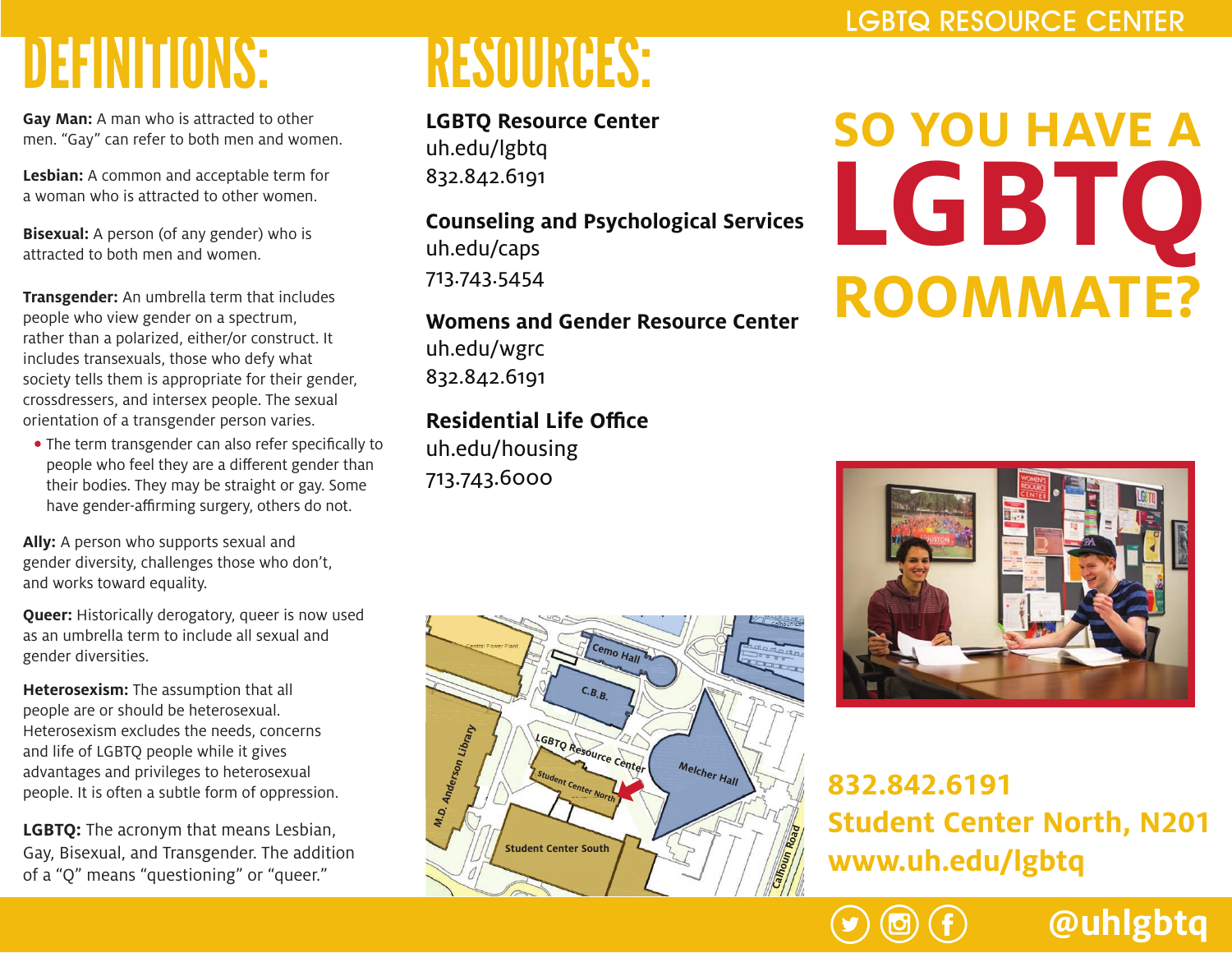### DEFINITIONS: RESOURCES:

**Gay Man:** A man who is attracted to other men. "Gay" can refer to both men and women.

**Lesbian:** A common and acceptable term for a woman who is attracted to other women.

**Bisexual:** A person (of any gender) who is attracted to both men and women.

**Transgender:** An umbrella term that includes people who view gender on a spectrum, rather than a polarized, either/or construct. It includes transexuals, those who defy what society tells them is appropriate for their gender, crossdressers, and intersex people. The sexual orientation of a transgender person varies.

 $\bullet$  The term transgender can also refer specifically to people who feel they are a different gender than their bodies. They may be straight or gay. Some have gender-affirming surgery, others do not.

**Ally:** A person who supports sexual and gender diversity, challenges those who don't, and works toward equality.

**Queer:** Historically derogatory, queer is now used as an umbrella term to include all sexual and gender diversities.

**Heterosexism:** The assumption that all people are or should be heterosexual. Heterosexism excludes the needs, concerns and life of LGBTQ people while it gives advantages and privileges to heterosexual people. It is often a subtle form of oppression.

**LGBTQ:** The acronym that means Lesbian, Gay, Bisexual, and Transgender. The addition of a "Q" means "questioning" or "queer."

**LGBTQ Resource Center** uh.edu/lgbtq 832.842.6191

**Counseling and Psychological Services** uh.edu/caps 713.743.5454

**Womens and Gender Resource Center** uh.edu/wgrc 832.842.6191

**Residential Life Office** 

uh.edu/housing 713.743.6000



# **SO YOU HAVE A LGBTQ ROOMMATE?**



### **832.842.6191 Student Center North, N201 www.uh.edu/lgbtq**

**@uhlgbtq**